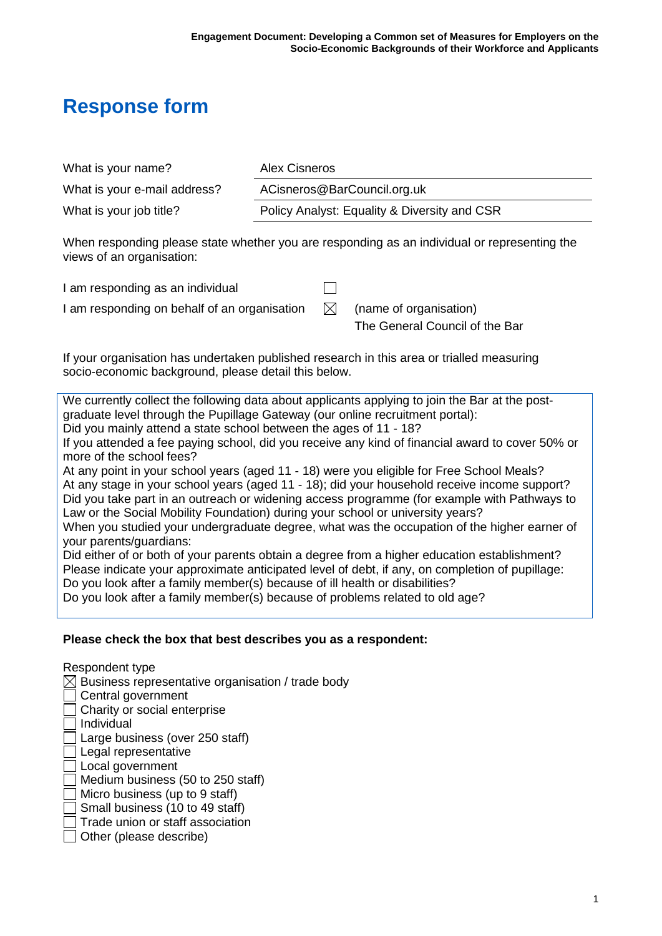# **Response form**

| What is your name?           | Alex Cisneros                                |
|------------------------------|----------------------------------------------|
| What is your e-mail address? | ACisneros@BarCouncil.org.uk                  |
| What is your job title?      | Policy Analyst: Equality & Diversity and CSR |

When responding please state whether you are responding as an individual or representing the views of an organisation:

| I am responding as an individual             |      |                                |
|----------------------------------------------|------|--------------------------------|
| I am responding on behalf of an organisation | - M- | (name of organisation)         |
|                                              |      | The General Council of the Bar |

If your organisation has undertaken published research in this area or trialled measuring socio-economic background, please detail this below.

We currently collect the following data about applicants applying to join the Bar at the postgraduate level through the Pupillage Gateway (our online recruitment portal): Did you mainly attend a state school between the ages of 11 - 18? If you attended a fee paying school, did you receive any kind of financial award to cover 50% or more of the school fees? At any point in your school years (aged 11 - 18) were you eligible for Free School Meals?

At any stage in your school years (aged 11 - 18); did your household receive income support? Did you take part in an outreach or widening access programme (for example with Pathways to Law or the Social Mobility Foundation) during your school or university years?

When you studied your undergraduate degree, what was the occupation of the higher earner of your parents/guardians:

Did either of or both of your parents obtain a degree from a higher education establishment? Please indicate your approximate anticipated level of debt, if any, on completion of pupillage: Do you look after a family member(s) because of ill health or disabilities?

Do you look after a family member(s) because of problems related to old age?

#### **Please check the box that best describes you as a respondent:**

Respondent type  $\boxtimes$  Business representative organisation / trade body Central government □ Charity or social enterprise Individual  $\Box$  Large business (over 250 staff) Legal representative **Local government**  $\Box$  Medium business (50 to 250 staff)  $\Box$  Micro business (up to 9 staff) Small business (10 to 49 staff)  $\Box$  Trade union or staff association  $\Box$  Other (please describe)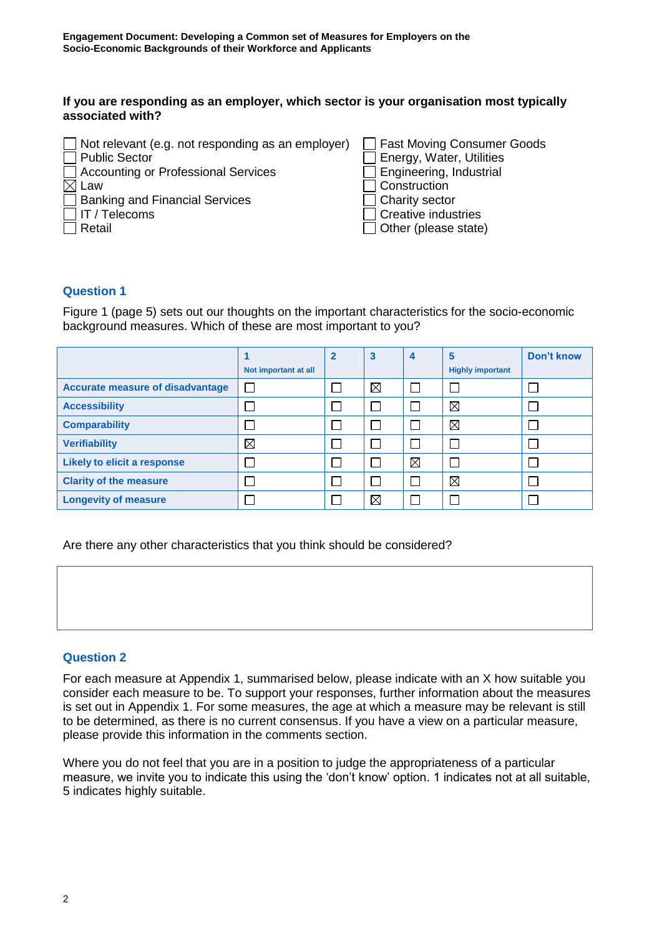#### **If you are responding as an employer, which sector is your organisation most typically associated with?**

#### **Question 1**

Figure 1 (page 5) sets out our thoughts on the important characteristics for the socio-economic background measures. Which of these are most important to you?

|                                         | Not important at all | $\overline{2}$ | $\mathbf{3}$ | $\overline{4}$ | 5<br><b>Highly important</b> | Don't know |
|-----------------------------------------|----------------------|----------------|--------------|----------------|------------------------------|------------|
| <b>Accurate measure of disadvantage</b> |                      |                | ⊠            | ᄀ              |                              |            |
| <b>Accessibility</b>                    |                      |                | Г            |                | $\boxtimes$                  |            |
| <b>Comparability</b>                    |                      |                | $\Box$       |                | $\boxtimes$                  |            |
| <b>Verifiability</b>                    | $\boxtimes$          |                | $\Box$       | ×.             |                              |            |
| <b>Likely to elicit a response</b>      |                      |                | $\Box$       | $\boxtimes$    |                              |            |
| <b>Clarity of the measure</b>           |                      |                | $\Box$       | ٦              | $\boxtimes$                  |            |
| <b>Longevity of measure</b>             |                      |                | ⊠            | ×.             |                              |            |

Are there any other characteristics that you think should be considered?

#### **Question 2**

For each measure at Appendix 1, summarised below, please indicate with an X how suitable you consider each measure to be. To support your responses, further information about the measures is set out in Appendix 1. For some measures, the age at which a measure may be relevant is still to be determined, as there is no current consensus. If you have a view on a particular measure, please provide this information in the comments section.

Where you do not feel that you are in a position to judge the appropriateness of a particular measure, we invite you to indicate this using the 'don't know' option. 1 indicates not at all suitable, 5 indicates highly suitable.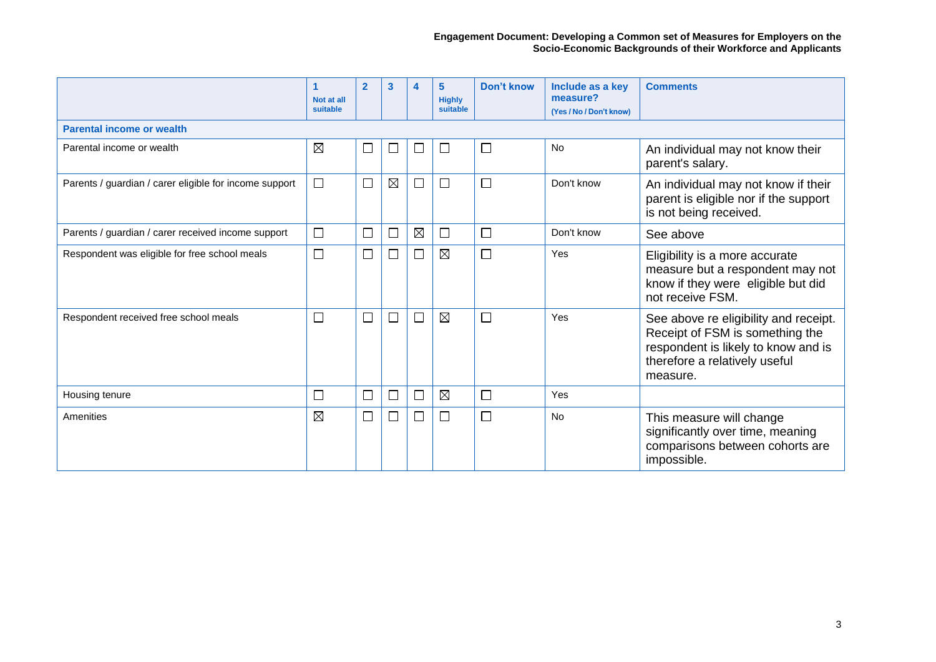|                                                        | 1<br>Not at all<br>suitable | $\overline{2}$              | 3                        | 4                        | 5<br><b>Highly</b><br>suitable | <b>Don't know</b> | Include as a key<br>measure?<br>(Yes / No / Don't know) | <b>Comments</b>                                                                                                                                              |
|--------------------------------------------------------|-----------------------------|-----------------------------|--------------------------|--------------------------|--------------------------------|-------------------|---------------------------------------------------------|--------------------------------------------------------------------------------------------------------------------------------------------------------------|
| <b>Parental income or wealth</b>                       |                             |                             |                          |                          |                                |                   |                                                         |                                                                                                                                                              |
| Parental income or wealth                              | $\boxtimes$                 | $\overline{\phantom{a}}$    | L                        |                          |                                | $\Box$            | <b>No</b>                                               | An individual may not know their<br>parent's salary.                                                                                                         |
| Parents / guardian / carer eligible for income support | $\Box$                      | $\Box$                      | $\boxtimes$              | $\sim$                   | ΙI                             | $\Box$            | Don't know                                              | An individual may not know if their<br>parent is eligible nor if the support<br>is not being received.                                                       |
| Parents / guardian / carer received income support     | $\Box$                      | $\Box$                      | $\Box$                   | $\boxtimes$              | $\Box$                         | $\Box$            | Don't know                                              | See above                                                                                                                                                    |
| Respondent was eligible for free school meals          | $\Box$                      | $\Box$                      | $\Box$                   | $\Box$                   | $\boxtimes$                    | $\Box$            | Yes                                                     | Eligibility is a more accurate<br>measure but a respondent may not<br>know if they were eligible but did<br>not receive FSM.                                 |
| Respondent received free school meals                  | $\Box$                      | $\Box$                      | $\Box$                   | $\overline{\phantom{a}}$ | ⊠                              | $\Box$            | Yes                                                     | See above re eligibility and receipt.<br>Receipt of FSM is something the<br>respondent is likely to know and is<br>therefore a relatively useful<br>measure. |
| Housing tenure                                         | $\Box$                      | $\mathcal{L}_{\mathcal{A}}$ | $\overline{\phantom{a}}$ | П                        | ⊠                              | $\Box$            | Yes                                                     |                                                                                                                                                              |
| Amenities                                              | $\boxtimes$                 | $\Box$                      | $\Box$                   | $\Box$                   | П                              | $\Box$            | <b>No</b>                                               | This measure will change<br>significantly over time, meaning<br>comparisons between cohorts are<br>impossible.                                               |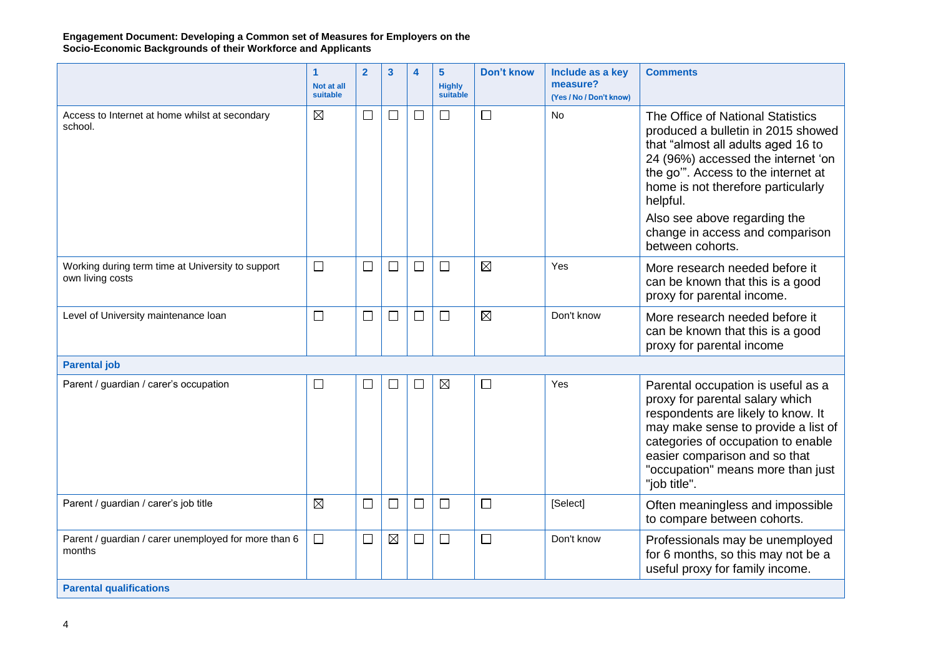#### **Engagement Document: Developing a Common set of Measures for Employers on the Socio-Economic Backgrounds of their Workforce and Applicants**

|                                                                       | 1<br>Not at all<br>suitable | $\overline{2}$              | 3           | 4      | 5<br><b>Highly</b><br>suitable | <b>Don't know</b> | Include as a key<br>measure?<br>(Yes / No / Don't know) | <b>Comments</b>                                                                                                                                                                                                                                                                                                                    |
|-----------------------------------------------------------------------|-----------------------------|-----------------------------|-------------|--------|--------------------------------|-------------------|---------------------------------------------------------|------------------------------------------------------------------------------------------------------------------------------------------------------------------------------------------------------------------------------------------------------------------------------------------------------------------------------------|
| Access to Internet at home whilst at secondary<br>school.             | $\boxtimes$                 | $\Box$                      | $\Box$      | $\Box$ | $\Box$                         | $\Box$            | <b>No</b>                                               | The Office of National Statistics<br>produced a bulletin in 2015 showed<br>that "almost all adults aged 16 to<br>24 (96%) accessed the internet 'on<br>the go". Access to the internet at<br>home is not therefore particularly<br>helpful.<br>Also see above regarding the<br>change in access and comparison<br>between cohorts. |
| Working during term time at University to support<br>own living costs | $\Box$                      | $\mathcal{L}_{\mathcal{A}}$ | $\Box$      | $\Box$ | $\Box$                         | ⊠                 | Yes                                                     | More research needed before it<br>can be known that this is a good<br>proxy for parental income.                                                                                                                                                                                                                                   |
| Level of University maintenance loan                                  | $\Box$                      | П                           | $\Box$      | $\Box$ | $\Box$                         | $\boxtimes$       | Don't know                                              | More research needed before it<br>can be known that this is a good<br>proxy for parental income                                                                                                                                                                                                                                    |
| <b>Parental job</b>                                                   |                             |                             |             |        |                                |                   |                                                         |                                                                                                                                                                                                                                                                                                                                    |
| Parent / guardian / carer's occupation                                | $\Box$                      | $\sim$                      | $\Box$      | $\Box$ | $\boxtimes$                    | $\Box$            | Yes                                                     | Parental occupation is useful as a<br>proxy for parental salary which<br>respondents are likely to know. It<br>may make sense to provide a list of<br>categories of occupation to enable<br>easier comparison and so that<br>"occupation" means more than just<br>"job title".                                                     |
| Parent / guardian / carer's job title                                 | $\boxtimes$                 | $\overline{\phantom{a}}$    | $\Box$      | $\Box$ | $\Box$                         | $\Box$            | [Select]                                                | Often meaningless and impossible<br>to compare between cohorts.                                                                                                                                                                                                                                                                    |
| Parent / guardian / carer unemployed for more than 6<br>months        | $\Box$                      | H                           | $\boxtimes$ | $\Box$ | $\Box$                         | $\Box$            | Don't know                                              | Professionals may be unemployed<br>for 6 months, so this may not be a<br>useful proxy for family income.                                                                                                                                                                                                                           |
| <b>Parental qualifications</b>                                        |                             |                             |             |        |                                |                   |                                                         |                                                                                                                                                                                                                                                                                                                                    |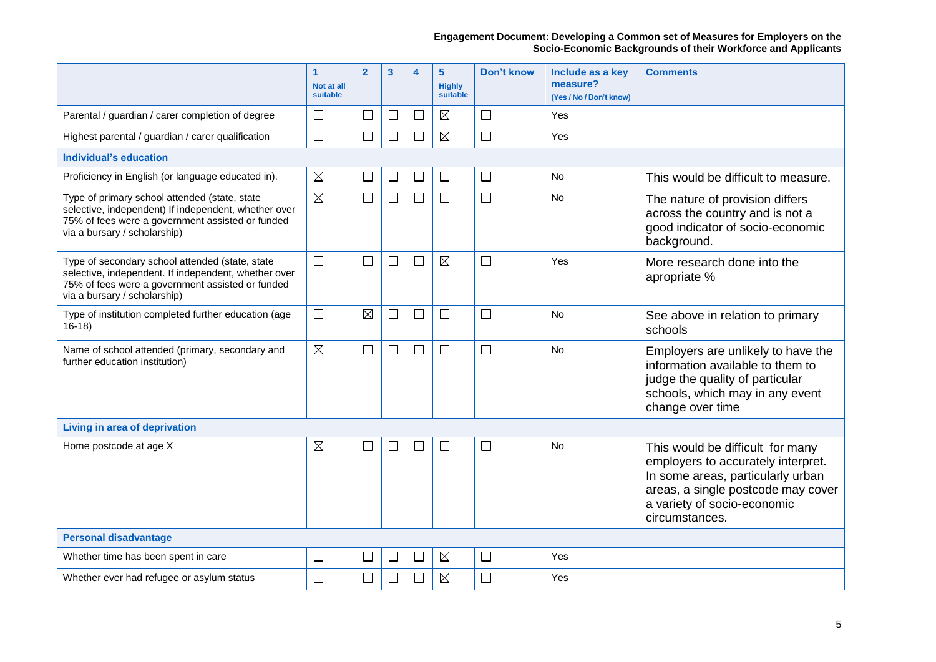**Engagement Document: Developing a Common set of Measures for Employers on the Socio-Economic Backgrounds of their Workforce and Applicants**

|                                                                                                                                                                                             | $\mathbf{1}$<br>Not at all<br>suitable | $\overline{2}$ | 3      | 4              | $5\phantom{1}$<br><b>Highly</b><br>suitable | <b>Don't know</b> | Include as a key<br>measure?<br>(Yes / No / Don't know) | <b>Comments</b>                                                                                                                                                                                    |  |  |
|---------------------------------------------------------------------------------------------------------------------------------------------------------------------------------------------|----------------------------------------|----------------|--------|----------------|---------------------------------------------|-------------------|---------------------------------------------------------|----------------------------------------------------------------------------------------------------------------------------------------------------------------------------------------------------|--|--|
| Parental / guardian / carer completion of degree                                                                                                                                            | $\Box$                                 | $\Box$         | $\Box$ | $\Box$         | $\boxtimes$                                 | $\Box$            | <b>Yes</b>                                              |                                                                                                                                                                                                    |  |  |
| Highest parental / guardian / carer qualification                                                                                                                                           | $\Box$                                 | $\Box$         | П      | $\mathbb{R}^n$ | $\boxtimes$                                 | $\Box$            | Yes                                                     |                                                                                                                                                                                                    |  |  |
| <b>Individual's education</b>                                                                                                                                                               |                                        |                |        |                |                                             |                   |                                                         |                                                                                                                                                                                                    |  |  |
| Proficiency in English (or language educated in).                                                                                                                                           | $\boxtimes$                            | $\Box$         | $\Box$ | $\Box$         | $\Box$                                      | $\Box$            | No                                                      | This would be difficult to measure.                                                                                                                                                                |  |  |
| Type of primary school attended (state, state<br>selective, independent) If independent, whether over<br>75% of fees were a government assisted or funded<br>via a bursary / scholarship)   | $\boxtimes$                            | $\Box$         | $\Box$ | $\Box$         | $\Box$                                      | $\Box$            | No                                                      | The nature of provision differs<br>across the country and is not a<br>good indicator of socio-economic<br>background.                                                                              |  |  |
| Type of secondary school attended (state, state<br>selective, independent. If independent, whether over<br>75% of fees were a government assisted or funded<br>via a bursary / scholarship) | $\Box$                                 | $\Box$         | $\Box$ | □              | $\boxtimes$                                 | $\Box$            | Yes                                                     | More research done into the<br>apropriate %                                                                                                                                                        |  |  |
| Type of institution completed further education (age<br>$16-18$                                                                                                                             | $\overline{\phantom{a}}$               | $\boxtimes$    | $\Box$ | $\mathbb{R}^n$ | $\Box$                                      | $\Box$            | No                                                      | See above in relation to primary<br>schools                                                                                                                                                        |  |  |
| Name of school attended (primary, secondary and<br>further education institution)                                                                                                           | $\boxtimes$                            | $\Box$         | $\Box$ | ⊔              | $\Box$                                      | $\Box$            | No                                                      | Employers are unlikely to have the<br>information available to them to<br>judge the quality of particular<br>schools, which may in any event<br>change over time                                   |  |  |
| Living in area of deprivation                                                                                                                                                               |                                        |                |        |                |                                             |                   |                                                         |                                                                                                                                                                                                    |  |  |
| Home postcode at age X                                                                                                                                                                      | $\boxtimes$                            | $\Box$         | $\Box$ | $\mathbf{L}$   | $\Box$                                      | $\Box$            | No                                                      | This would be difficult for many<br>employers to accurately interpret.<br>In some areas, particularly urban<br>areas, a single postcode may cover<br>a variety of socio-economic<br>circumstances. |  |  |
| <b>Personal disadvantage</b>                                                                                                                                                                |                                        |                |        |                |                                             |                   |                                                         |                                                                                                                                                                                                    |  |  |
| Whether time has been spent in care                                                                                                                                                         | $\overline{\phantom{a}}$               | $\Box$         | $\Box$ |                | $\boxtimes$                                 | $\Box$            | Yes                                                     |                                                                                                                                                                                                    |  |  |
| Whether ever had refugee or asylum status                                                                                                                                                   | $\Box$                                 | $\Box$         | $\Box$ | $\Box$         | $\boxtimes$                                 | $\Box$            | Yes                                                     |                                                                                                                                                                                                    |  |  |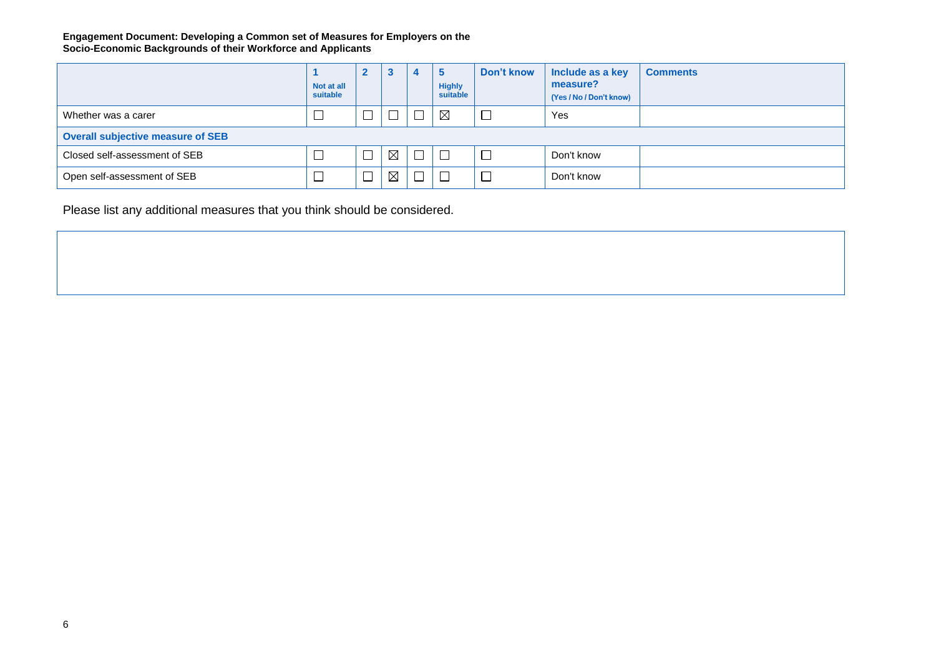#### **Engagement Document: Developing a Common set of Measures for Employers on the Socio-Economic Backgrounds of their Workforce and Applicants**

|                                          | Not at all<br>suitable | $\mathbf{2}$ | 3           |        | ಾ<br><b>Highly</b><br>suitable | Don't know | Include as a key<br>measure?<br>(Yes / No / Don't know) | <b>Comments</b> |
|------------------------------------------|------------------------|--------------|-------------|--------|--------------------------------|------------|---------------------------------------------------------|-----------------|
| Whether was a carer                      |                        |              |             |        | $\boxtimes$                    | $\Box$     | Yes                                                     |                 |
| <b>Overall subjective measure of SEB</b> |                        |              |             |        |                                |            |                                                         |                 |
| Closed self-assessment of SEB            |                        |              | $\boxtimes$ | $\Box$ |                                | $\Box$     | Don't know                                              |                 |
| Open self-assessment of SEB              |                        |              | $\boxtimes$ |        |                                | $\Box$     | Don't know                                              |                 |

Please list any additional measures that you think should be considered.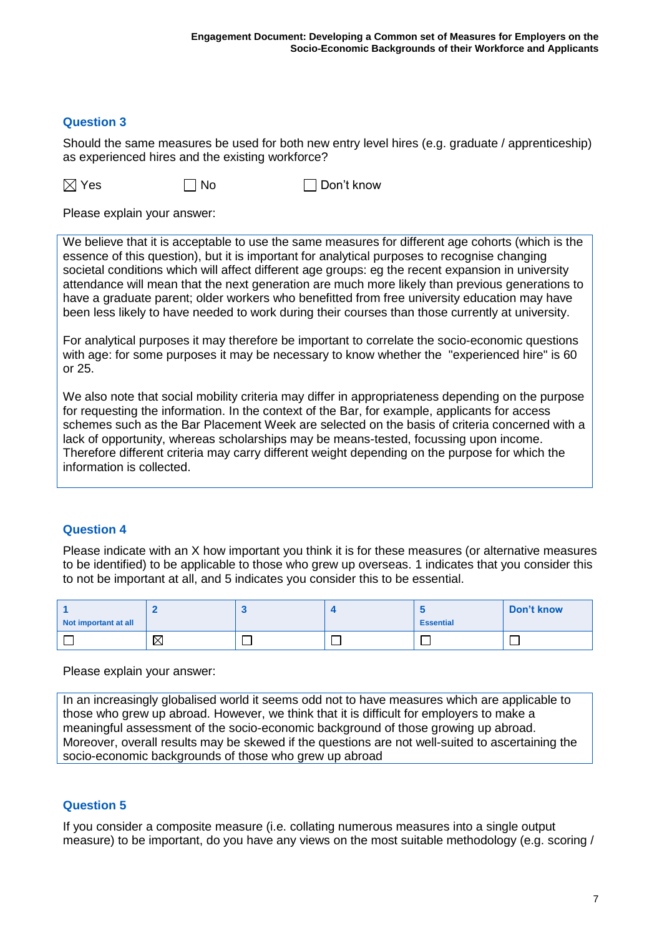#### **Question 3**

Should the same measures be used for both new entry level hires (e.g. graduate / apprenticeship) as experienced hires and the existing workforce?

 $\boxtimes$  Yes  $\Box$  No  $\Box$  Don't know

Please explain your answer:

We believe that it is acceptable to use the same measures for different age cohorts (which is the essence of this question), but it is important for analytical purposes to recognise changing societal conditions which will affect different age groups: eg the recent expansion in university attendance will mean that the next generation are much more likely than previous generations to have a graduate parent; older workers who benefitted from free university education may have been less likely to have needed to work during their courses than those currently at university.

For analytical purposes it may therefore be important to correlate the socio-economic questions with age: for some purposes it may be necessary to know whether the "experienced hire" is 60 or 25.

We also note that social mobility criteria may differ in appropriateness depending on the purpose for requesting the information. In the context of the Bar, for example, applicants for access schemes such as the Bar Placement Week are selected on the basis of criteria concerned with a lack of opportunity, whereas scholarships may be means-tested, focussing upon income. Therefore different criteria may carry different weight depending on the purpose for which the information is collected.

#### **Question 4**

Please indicate with an X how important you think it is for these measures (or alternative measures to be identified) to be applicable to those who grew up overseas. 1 indicates that you consider this to not be important at all, and 5 indicates you consider this to be essential.

| Not important at all |             |  | <b>Essential</b> | Don't know |
|----------------------|-------------|--|------------------|------------|
|                      | $\boxtimes$ |  |                  |            |

Please explain your answer:

In an increasingly globalised world it seems odd not to have measures which are applicable to those who grew up abroad. However, we think that it is difficult for employers to make a meaningful assessment of the socio-economic background of those growing up abroad. Moreover, overall results may be skewed if the questions are not well-suited to ascertaining the socio-economic backgrounds of those who grew up abroad

## **Question 5**

If you consider a composite measure (i.e. collating numerous measures into a single output measure) to be important, do you have any views on the most suitable methodology (e.g. scoring /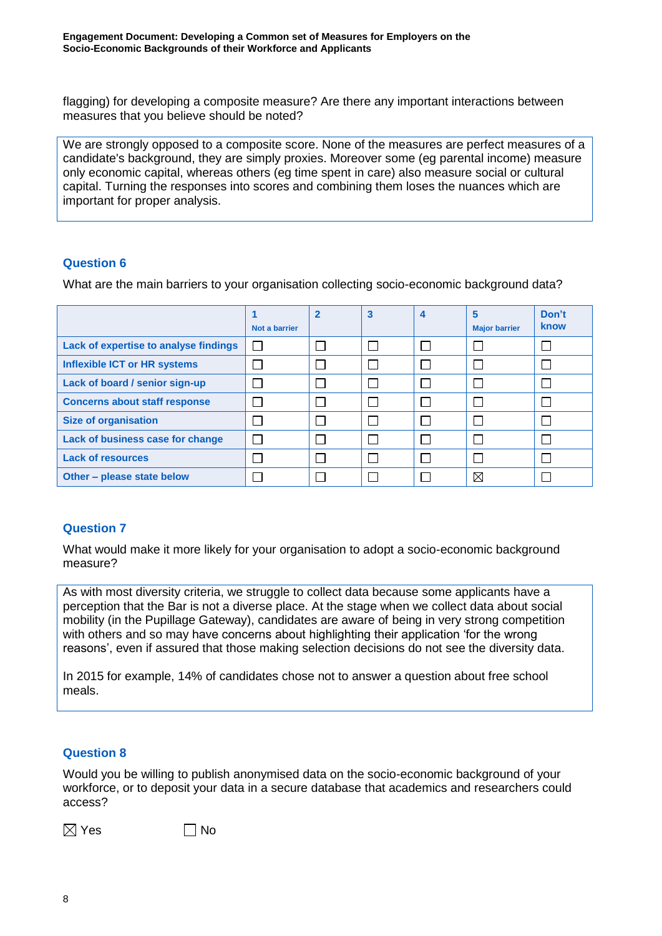flagging) for developing a composite measure? Are there any important interactions between measures that you believe should be noted?

We are strongly opposed to a composite score. None of the measures are perfect measures of a candidate's background, they are simply proxies. Moreover some (eg parental income) measure only economic capital, whereas others (eg time spent in care) also measure social or cultural capital. Turning the responses into scores and combining them loses the nuances which are important for proper analysis.

## **Question 6**

What are the main barriers to your organisation collecting socio-economic background data?

|                                       | Not a barrier | $\overline{2}$ | 3 | 4 | 5<br><b>Major barrier</b> | Don't<br>know |
|---------------------------------------|---------------|----------------|---|---|---------------------------|---------------|
| Lack of expertise to analyse findings | $\mathbf{L}$  |                |   |   |                           |               |
| <b>Inflexible ICT or HR systems</b>   |               |                |   |   |                           |               |
| Lack of board / senior sign-up        |               |                |   |   |                           |               |
| <b>Concerns about staff response</b>  |               |                |   |   |                           |               |
| <b>Size of organisation</b>           |               |                |   |   |                           |               |
| Lack of business case for change      |               |                |   |   |                           |               |
| <b>Lack of resources</b>              |               |                |   |   |                           |               |
| Other – please state below            |               |                |   |   | $\boxtimes$               |               |

## **Question 7**

What would make it more likely for your organisation to adopt a socio-economic background measure?

As with most diversity criteria, we struggle to collect data because some applicants have a perception that the Bar is not a diverse place. At the stage when we collect data about social mobility (in the Pupillage Gateway), candidates are aware of being in very strong competition with others and so may have concerns about highlighting their application 'for the wrong reasons', even if assured that those making selection decisions do not see the diversity data.

In 2015 for example, 14% of candidates chose not to answer a question about free school meals.

## **Question 8**

Would you be willing to publish anonymised data on the socio-economic background of your workforce, or to deposit your data in a secure database that academics and researchers could access?

 $\boxtimes$  Yes  $\Box$  No